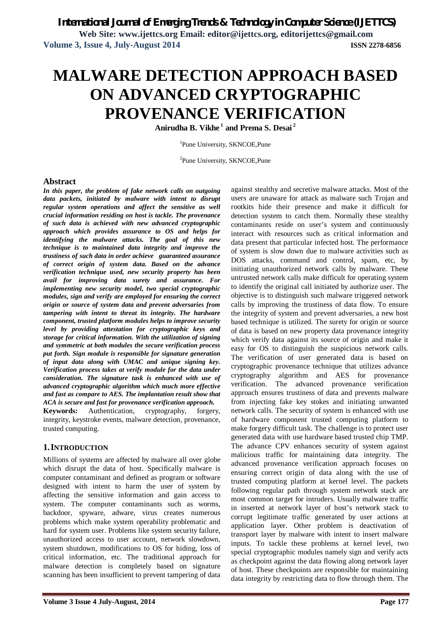**Web Site: www.ijettcs.org Email: editor@ijettcs.org, editorijettcs@gmail.com Volume 3, Issue 4, July-August 2014 ISSN 2278-6856**

# **MALWARE DETECTION APPROACH BASED ON ADVANCED CRYPTOGRAPHIC PROVENANCE VERIFICATION**

**Anirudha B. Vikhe <sup>1</sup> and Prema S. Desai <sup>2</sup>**

<sup>1</sup>Pune University, SKNCOE, Pune

<sup>2</sup>Pune University, SKNCOE,Pune

## **Abstract**

*In this paper, the problem of fake network calls on outgoing data packets, initiated by malware with intent to disrupt regular system operations and affect the sensitive as well crucial information residing on host is tackle. The provenance of such data is achieved with new advanced cryptographic approach which provides assurance to OS and helps for identifying the malware attacks. The goal of this new technique is to maintained data integrity and improve the trustiness of such data in order achieve guaranteed assurance of correct origin of system data. Based on the advance verification technique used, new security property has been avail for improving data surety and assurance. For implementing new security model, two special cryptographic modules, sign and verify are employed for ensuring the correct origin or source of system data and prevent adversaries from tampering with intent to threat its integrity. The hardware component, trusted platform modules helps to improve security level by providing attestation for cryptographic keys and storage for critical information. With the utilization of signing and symmetric at both modules the secure verification process put forth. Sign module is responsible for signature generation of input data along with UMAC and unique signing key. Verification process takes at verify module for the data under consideration. The signature task is enhanced with use of advanced cryptographic algorithm which much more effective and fast as compare to AES. The implantation result show that ACA is secure and fast for provenance verification approach.*

**Keywords:** Authentication, cryptography, forgery, integrity, keystroke events, malware detection, provenance, trusted computing.

# **1.INTRODUCTION**

Millions of systems are affected by malware all over globe which disrupt the data of host. Specifically malware is computer contaminant and defined as program or software designed with intent to harm the user of system by affecting the sensitive information and gain access to system. The computer contaminants such as worms, backdoor, spyware, adware, virus creates numerous problems which make system operability problematic and hard for system user. Problems like system security failure, unauthorized access to user account, network slowdown, system shutdown, modifications to OS for hiding, loss of critical information, etc. The traditional approach for malware detection is completely based on signature scanning has been insufficient to prevent tampering of data

against stealthy and secretive malware attacks. Most of the users are unaware for attack as malware such Trojan and rootkits hide their presence and make it difficult for detection system to catch them. Normally these stealthy contaminants reside on user's system and continuously interact with resources such as critical information and data present that particular infected host. The performance of system is slow down due to malware activities such as DOS attacks, command and control, spam, etc, by initiating unauthorized network calls by malware. These untrusted network calls make difficult for operating system to identify the original call initiated by authorize user. The objective is to distinguish such malware triggered network calls by improving the trustiness of data flow. To ensure the integrity of system and prevent adversaries, a new host based technique is utilized. The surety for origin or source of data is based on new property data provenance integrity which verify data against its source of origin and make it easy for OS to distinguish the suspicious network calls. The verification of user generated data is based on cryptographic provenance technique that utilizes advance cryptography algorithm and AES for provenance verification. The advanced provenance verification approach ensures trustiness of data and prevents malware from injecting fake key stokes and initiating unwanted network calls. The security of system is enhanced with use of hardware component trusted computing platform to make forgery difficult task. The challenge is to protect user generated data with use hardware based trusted chip TMP. The advance CPV enhances security of system against malicious traffic for maintaining data integrity. The advanced provenance verification approach focuses on ensuring correct origin of data along with the use of trusted computing platform at kernel level. The packets following regular path through system network stack are most common target for intruders. Usually malware traffic in inserted at network layer of host's network stack to corrupt legitimate traffic generated by user actions at application layer. Other problem is deactivation of transport layer by malware with intent to insert malware inputs. To tackle these problems at kernel level, two special cryptographic modules namely sign and verify acts as checkpoint against the data flowing along network layer of host. These checkpoints are responsible for maintaining data integrity by restricting data to flow through them. The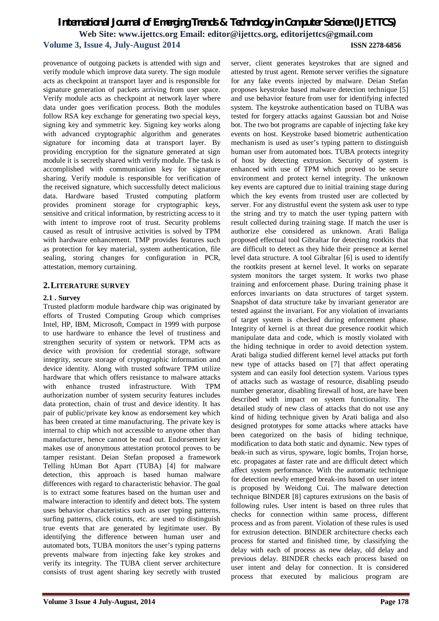provenance of outgoing packets is attended with sign and verify module which improve data surety. The sign module acts as checkpoint at transport layer and is responsible for signature generation of packets arriving from user space. Verify module acts as checkpoint at network layer where data under goes verification process. Both the modules follow RSA key exchange for generating two special keys, signing key and symmetric key. Signing key works along with advanced cryptographic algorithm and generates signature for incoming data at transport layer. By providing encryption for the signature generated at sign module it is secretly shared with verify module. The task is accomplished with communication key for signature sharing. Verify module is responsible for verification of the received signature, which successfully detect malicious data. Hardware based Trusted computing platform provides prominent storage for cryptographic keys, sensitive and critical information, by restricting access to it with intent to improve root of trust. Security problems caused as result of intrusive activities is solved by TPM with hardware enhancement. TMP provides features such as protection for key material, system authentication, file sealing, storing changes for configuration in PCR, attestation, memory curtaining.

# **2.LITERATURE SURVEY**

## **2.1 . Survey**

Trusted platform module hardware chip was originated by efforts of Trusted Computing Group which comprises Intel, HP, IBM, Microsoft, Compact in 1999 with purpose to use hardware to enhance the level of trustiness and strengthen security of system or network. TPM acts as device with provision for credential storage, software integrity, secure storage of cryptographic information and device identity. Along with trusted software TPM utilize hardware that which offers resistance to malware attacks with enhance trusted infrastructure. With TPM authorization number of system security features includes data protection, chain of trust and device identity. It has pair of public/private key know as endorsement key which has been created at time manufacturing. The private key is internal to chip which not accessible to anyone other than manufacturer, hence cannot be read out. Endorsement key makes use of anonymous attestation protocol proves to be tamper resistant. Deian Stefan proposed a framework Telling hUman Bot Apart (TUBA) [4] for malware detection, this approach is based human malware differences with regard to characteristic behavior. The goal is to extract some features based on the human user and malware interaction to identify and detect bots. The system uses behavior characteristics such as user typing patterns, surfing patterns, click counts, etc. are used to distinguish true events that are generated by legitimate user. By identifying the difference between human user and automated bots, TUBA monitors the user's typing patterns prevents malware from injecting fake key strokes and verify its integrity. The TUBA client server architecture consists of trust agent sharing key secretly with trusted

server, client generates keystrokes that are signed and attested by trust agent. Remote server verifies the signature for any fake events injected by malware. Deian Stefan proposes keystroke based malware detection technique [5] and use behavior feature from user for identifying infected system. The keystroke authentication based on TUBA was tested for forgery attacks against Gaussian bot and Noise bot. The two bot programs are capable of injecting fake key events on host. Keystroke based biometric authentication mechanism is used as user's typing pattern to distinguish human user from automated bots. TUBA protects integrity of host by detecting extrusion. Security of system is enhanced with use of TPM which proved to be secure environment and protect kernel integrity. The unknown key events are captured due to initial training stage during which the key events from trusted user are collected by server. For any distrustful event the system ask user to type the string and try to match the user typing pattern with result collected during training stage. If match the user is authorize else considered as unknown. Arati Baliga proposed effectual tool Gibraltar for detecting rootkits that are difficult to detect as they hide their presence at kernel level data structure. A tool Gibraltar [6] is used to identify the rootkits present at kernel level. It works on separate system monitors the target system. It works two phase training and enforcement phase. During training phase it enforces invariants on data structures of target system. Snapshot of data structure take by invariant generator are tested against the invariant. For any violation of invariants of target system is checked during enforcement phase. Integrity of kernel is at threat due presence rootkit which manipulate data and code, which is mostly violated with the hiding technique in order to avoid detection system. Arati baliga studied different kernel level attacks put forth new type of attacks based on [7] that affect operating system and can easily fool detection system. Various types of attacks such as wastage of resource, disabling pseudo number generator, disabling firewall of host, are have been described with impact on system functionality. The detailed study of new class of attacks that do not use any kind of hiding technique given by Arati baliga and also designed prototypes for some attacks where attacks have been categorized on the basis of hiding technique, modification to data both static and dynamic. New types of beak-in such as virus, spyware, logic bombs, Trojan horse, etc. propagates at faster rate and are difficult detect which affect system performance. With the automatic technique for detection newly emerged break-ins based on user intent is proposed by Weidong Cui. The malware detection technique BINDER [8] captures extrusions on the basis of following rules. User intent is based on three rules that checks for connection within same process, different process and as from parent. Violation of these rules is used for extrusion detection. BINDER architecture checks each process for started and finished time, by classifying the delay with each of process as new delay, old delay and previous delay. BINDER checks each process based on user intent and delay for connection. It is considered process that executed by malicious program are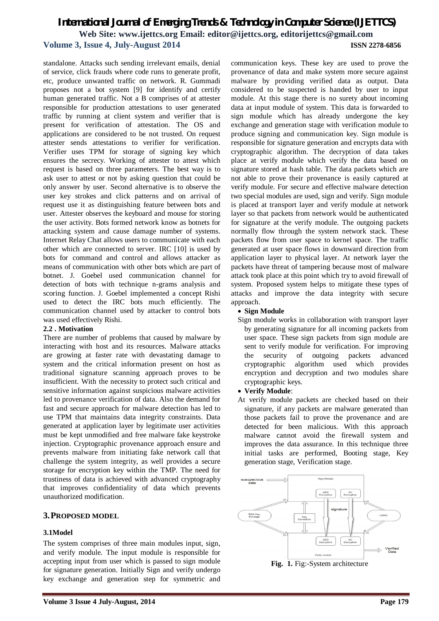standalone. Attacks such sending irrelevant emails, denial of service, click frauds where code runs to generate profit, etc, produce unwanted traffic on network. R. Gummadi proposes not a bot system [9] for identify and certify human generated traffic. Not a B comprises of at attester responsible for production attestations to user generated traffic by running at client system and verifier that is present for verification of attestation. The OS and applications are considered to be not trusted. On request attester sends attestations to verifier for verification. Verifier uses TPM for storage of signing key which ensures the secrecy. Working of attester to attest which request is based on three parameters. The best way is to ask user to attest or not by asking question that could be only answer by user. Second alternative is to observe the user key strokes and click patterns and on arrival of request use it as distinguishing feature between bots and user. Attester observes the keyboard and mouse for storing the user activity. Bots formed network know as botnets for attacking system and cause damage number of systems. Internet Relay Chat allows users to communicate with each other which are connected to server. IRC [10] is used by bots for command and control and allows attacker as means of communication with other bots which are part of botnet. J. Goebel used communication channel for detection of bots with technique n-grams analysis and scoring function. J. Goebel implemented a concept Rishi used to detect the IRC bots much efficiently. The communication channel used by attacker to control bots was used effectively Rishi.

# **2.2 . Motivation**

There are number of problems that caused by malware by interacting with host and its resources. Malware attacks are growing at faster rate with devastating damage to system and the critical information present on host as traditional signature scanning approach proves to be insufficient. With the necessity to protect such critical and sensitive information against suspicious malware activities led to provenance verification of data. Also the demand for fast and secure approach for malware detection has led to use TPM that maintains data integrity constraints. Data generated at application layer by legitimate user activities must be kept unmodified and free malware fake keystroke injection. Cryptographic provenance approach ensure and prevents malware from initiating fake network call that challenge the system integrity, as well provides a secure storage for encryption key within the TMP. The need for trustiness of data is achieved with advanced cryptography that improves confidentiality of data which prevents unauthorized modification.

# **3.PROPOSED MODEL**

# **3.1Model**

The system comprises of three main modules input, sign, and verify module. The input module is responsible for accepting input from user which is passed to sign module for signature generation. Initially Sign and verify undergo key exchange and generation step for symmetric and communication keys. These key are used to prove the provenance of data and make system more secure against malware by providing verified data as output. Data considered to be suspected is handed by user to input module. At this stage there is no surety about incoming data at input module of system. This data is forwarded to sign module which has already undergone the key exchange and generation stage with verification module to produce signing and communication key. Sign module is responsible for signature generation and encrypts data with cryptographic algorithm. The decryption of data takes place at verify module which verify the data based on signature stored at hash table. The data packets which are not able to prove their provenance is easily captured at verify module. For secure and effective malware detection two special modules are used, sign and verify. Sign module is placed at transport layer and verify module at network layer so that packets from network would be authenticated for signature at the verify module. The outgoing packets normally flow through the system network stack. These packets flow from user space to kernel space. The traffic generated at user space flows in downward direction from application layer to physical layer. At network layer the packets have threat of tampering because most of malware attack took place at this point which try to avoid firewall of system. Proposed system helps to mitigate these types of attacks and improve the data integrity with secure approach.

# **Sign Module**

Sign module works in collaboration with transport layer by generating signature for all incoming packets from user space. These sign packets from sign module are sent to verify module for verification. For improving the security of outgoing packets advanced cryptographic algorithm used which provides encryption and decryption and two modules share cryptographic keys.

#### **Verify Module**:

At verify module packets are checked based on their signature, if any packets are malware generated than those packets fail to prove the provenance and are detected for been malicious. With this approach malware cannot avoid the firewall system and improves the data assurance. In this technique three initial tasks are performed, Booting stage, Key generation stage, Verification stage.



**Fig. 1.** Fig:-System architecture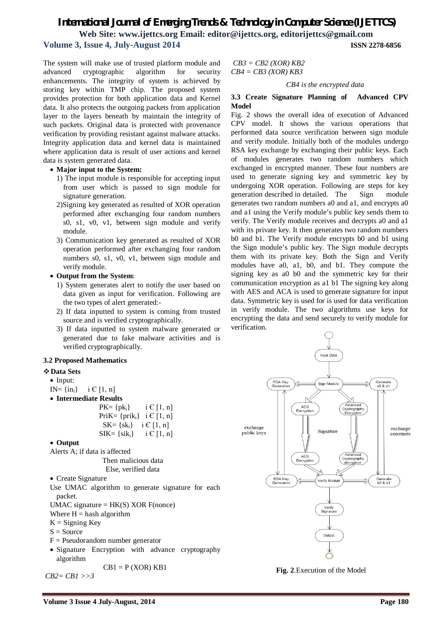The system will make use of trusted platform module and advanced cryptographic algorithm for security enhancements. The integrity of system is achieved by storing key within TMP chip. The proposed system provides protection for both application data and Kernel data. It also protects the outgoing packets from application layer to the layers beneath by maintain the integrity of such packets. Original data is protected with provenance verification by providing resistant against malware attacks. Integrity application data and kernel data is maintained where application data is result of user actions and kernel data is system generated data.

#### **Major input to the System:**

- 1) The input module is responsible for accepting input from user which is passed to sign module for signature generation.
- 2)Signing key generated as resulted of XOR operation performed after exchanging four random numbers s0, s1, v0, v1, between sign module and verify module.
- 3) Communication key generated as resulted of XOR operation performed after exchanging four random numbers s0, s1, v0, v1, between sign module and verify module.

#### **Output from the System**:

- 1) System generates alert to notify the user based on data given as input for verification. Following are the two types of alert generated:-
- 2) If data inputted to system is coming from trusted source and is verified cryptographically.
- 3) If data inputted to system malware generated or generated due to fake malware activities and is verified cryptographically.

#### **3.2 Proposed Mathematics**

#### **Data Sets**

- Input:
- IN=  $\{in_i\}$  i  $\in$  [1, n]
- **Intermediate Results**

| $PK = \{pk_i\}$     | $i \in [1, n]$ |
|---------------------|----------------|
| $PriK = \{prik_i\}$ | $i \in [1, n]$ |
| $SK = \{sk_i\}$     | $i \in [1, n]$ |
| $SIK = \{sik_i\}$   | $i \in [1, n]$ |

#### **Output**

Alerts A; if data is affected

```
Then malicious data
```

```
Else, verified data
```
- Create Signature
- Use UMAC algorithm to generate signature for each packet.
- UMAC signature =  $HK(S)$  XOR F(nonce)
- Where  $H =$  hash algorithm

 $K =$  Signing Key

- $S = Source$
- $F = P$ seudorandom number generator
- Signature Encryption with advance cryptography algorithm

$$
CB1 = P (XOR) KB1
$$

*CB2= CB1 >>3*

*CB3 = CB2 (XOR) KB2 CB4 = CB3 (XOR) KB3*

*CB4 is the encrypted data*

#### **3.3 Create Signature Planning of Advanced CPV Model**

Fig. 2 shows the overall idea of execution of Advanced CPV model. It shows the various operations that performed data source verification between sign module and verify module. Initially both of the modules undergo RSA key exchange by exchanging their public keys. Each of modules generates two random numbers which exchanged in encrypted manner. These four numbers are used to generate signing key and symmetric key by undergoing XOR operation. Following are steps for key generation described in detailed. The Sign module generates two random numbers a0 and a1, and encrypts a0 and a1 using the Verify module's public key sends them to verify. The Verify module receives and decrypts a0 and a1 with its private key. It then generates two random numbers b0 and b1. The Verify module encrypts b0 and b1 using the Sign module's public key. The Sign module decrypts them with its private key. Both the Sign and Verify modules have a0, a1, b0, and b1. They compute the signing key as a0 b0 and the symmetric key for their communication encryption as a1 b1 The signing key along with AES and ACA is used to generate signature for input data. Symmetric key is used for is used for data verification in verify module. The two algorithms use keys for encrypting the data and send securely to verify module for verification.



**Fig. 2**.Execution of the Model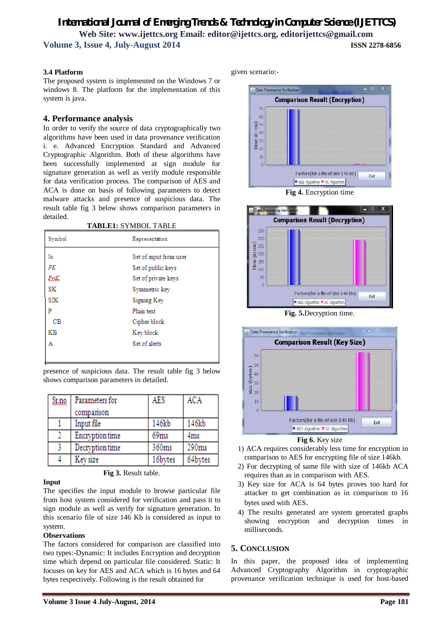# **3.4 Platform**

The proposed system is implemented on the Windows 7 or windows 8. The platform for the implementation of this system is java.

# **4. Performance analysis**

In order to verify the source of data cryptographically two algorithms have been used in data provenance verification i. e. Advanced Encryption Standard and Advanced Cryptographic Algorithm. Both of these algorithms have been successfully implemented at sign module for signature generation as well as verify module responsible for data verification process. The comparison of AES and ACA is done on basis of following parameters to detect malware attacks and presence of suspicious data. The result table fig 3 below shows comparison parameters in detailed.

**TABLE1:** SYMBOL TABLE

| Symbol     | Representation         |
|------------|------------------------|
| In         | Set of input from user |
| РK         | Set of public keys     |
| PxiK       | Set of private keys    |
| SK         | Symmetric key          |
| <b>SIK</b> | Signing Key            |
| P          | Plain text             |
| CВ         | Cipher block           |
| ΚB         | Key block              |
| А          | Set of alerts          |
|            |                        |

presence of suspicious data. The result table fig 3 below shows comparison parameters in detailed.

| Samq | Parameters for         | AES     | ACA     |
|------|------------------------|---------|---------|
|      | comparison             |         |         |
|      | Input file             | 146kb   | 146kb   |
|      | <b>Encryption</b> time | 69ms    | 4ms     |
|      | Decryption time        | 360ms   | 290ms   |
|      | Key size               | 16bytes | 64bytes |

**Fig 3.** Result table.

#### **Input**

The specifies the input module to browse particular file from host system considered for verification and pass it to sign module as well as verify for signature generation. In this scenario file of size 146 Kb is considered as input to system.

#### **Observations**

The factors considered for comparison are classified into two types:-Dynamic: It includes Encryption and decryption time which depend on particular file considered. Static: It focuses on key for AES and ACA which is 16 bytes and 64 bytes respectively. Following is the result obtained for

given scenario:-



**Fig 4.** Encryption time



**Fig. 5.**Decryption time.



**Fig 6.** Key size

- 1) ACA requires considerably less time for encryption in comparison to AES for encrypting file of size 146kb.
- 2) For decrypting of same file with size of 146kb ACA requires than as in comparison with AES.
- 3) Key size for ACA is 64 bytes proves too hard for attacker to get combination as in comparison to 16 bytes used with AES.
- 4) The results generated are system generated graphs showing encryption and decryption times in milliseconds.

# **5. CONCLUSION**

In this paper, the proposed idea of implementing Advanced Cryptography Algorithm in cryptographic provenance verification technique is used for host-based